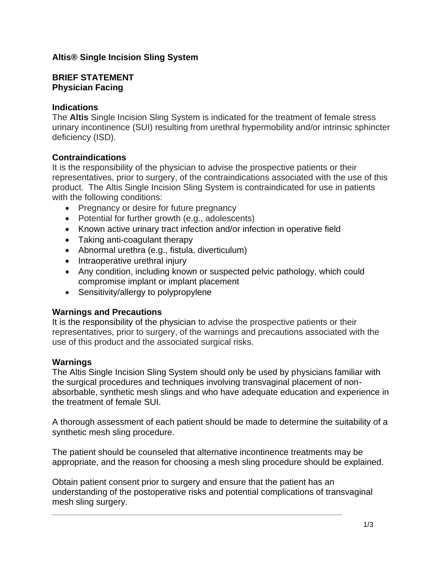# **Altis® Single Incision Sling System**

### **BRIEF STATEMENT Physician Facing**

### **Indications**

The **Altis** Single Incision Sling System is indicated for the treatment of female stress urinary incontinence (SUI) resulting from urethral hypermobility and/or intrinsic sphincter deficiency (ISD).

# **Contraindications**

It is the responsibility of the physician to advise the prospective patients or their representatives, prior to surgery, of the contraindications associated with the use of this product. The Altis Single Incision Sling System is contraindicated for use in patients with the following conditions:

- Pregnancy or desire for future pregnancy
- Potential for further growth (e.g., adolescents)
- Known active urinary tract infection and/or infection in operative field
- Taking anti-coagulant therapy
- Abnormal urethra (e.g., fistula, diverticulum)
- Intraoperative urethral injury
- Any condition, including known or suspected pelvic pathology, which could compromise implant or implant placement
- Sensitivity/allergy to polypropylene

#### **Warnings and Precautions**

It is the responsibility of the physician to advise the prospective patients or their representatives, prior to surgery, of the warnings and precautions associated with the use of this product and the associated surgical risks.

#### **Warnings**

The Altis Single Incision Sling System should only be used by physicians familiar with the surgical procedures and techniques involving transvaginal placement of nonabsorbable, synthetic mesh slings and who have adequate education and experience in the treatment of female SUI.

A thorough assessment of each patient should be made to determine the suitability of a synthetic mesh sling procedure.

The patient should be counseled that alternative incontinence treatments may be appropriate, and the reason for choosing a mesh sling procedure should be explained.

Obtain patient consent prior to surgery and ensure that the patient has an understanding of the postoperative risks and potential complications of transvaginal mesh sling surgery.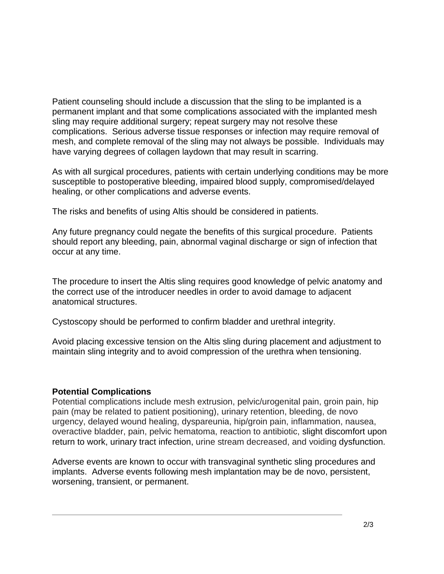Patient counseling should include a discussion that the sling to be implanted is a permanent implant and that some complications associated with the implanted mesh sling may require additional surgery; repeat surgery may not resolve these complications. Serious adverse tissue responses or infection may require removal of mesh, and complete removal of the sling may not always be possible. Individuals may have varying degrees of collagen laydown that may result in scarring.

As with all surgical procedures, patients with certain underlying conditions may be more susceptible to postoperative bleeding, impaired blood supply, compromised/delayed healing, or other complications and adverse events.

The risks and benefits of using Altis should be considered in patients.

Any future pregnancy could negate the benefits of this surgical procedure. Patients should report any bleeding, pain, abnormal vaginal discharge or sign of infection that occur at any time.

The procedure to insert the Altis sling requires good knowledge of pelvic anatomy and the correct use of the introducer needles in order to avoid damage to adjacent anatomical structures.

Cystoscopy should be performed to confirm bladder and urethral integrity.

Avoid placing excessive tension on the Altis sling during placement and adjustment to maintain sling integrity and to avoid compression of the urethra when tensioning.

# **Potential Complications**

Potential complications include mesh extrusion, pelvic/urogenital pain, groin pain, hip pain (may be related to patient positioning), urinary retention, bleeding, de novo urgency, delayed wound healing, dyspareunia, hip/groin pain, inflammation, nausea, overactive bladder, pain, pelvic hematoma, reaction to antibiotic, slight discomfort upon return to work, urinary tract infection, urine stream decreased, and voiding dysfunction.

Adverse events are known to occur with transvaginal synthetic sling procedures and implants. Adverse events following mesh implantation may be de novo, persistent, worsening, transient, or permanent.